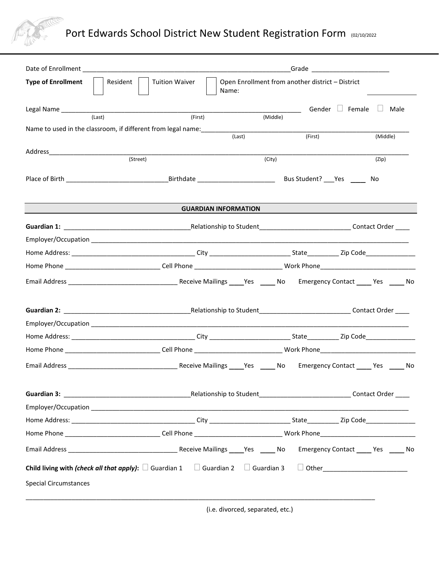

## Port Edwards School District New Student Registration Form (02/10/2022

| <b>Type of Enrollment</b>    | Resident  <br><b>Tuition Waiver</b>                                                                       | Name:                       | Open Enrollment from another district - District |          |
|------------------------------|-----------------------------------------------------------------------------------------------------------|-----------------------------|--------------------------------------------------|----------|
|                              |                                                                                                           |                             | Gender $\Box$ Female $\Box$                      | Male     |
| (Last)                       | (First)                                                                                                   | (Middle)                    |                                                  |          |
|                              | Name to used in the classroom, if different from legal name: with the control of the control of the class | (Last)                      | (First)                                          | (Middle) |
|                              |                                                                                                           |                             |                                                  |          |
|                              | (Street)                                                                                                  | (City)                      |                                                  | (Zip)    |
|                              |                                                                                                           |                             |                                                  |          |
|                              |                                                                                                           | <b>GUARDIAN INFORMATION</b> |                                                  |          |
|                              |                                                                                                           |                             |                                                  |          |
|                              |                                                                                                           |                             |                                                  |          |
|                              |                                                                                                           |                             |                                                  |          |
|                              |                                                                                                           |                             |                                                  |          |
|                              |                                                                                                           |                             |                                                  |          |
|                              |                                                                                                           |                             |                                                  |          |
|                              |                                                                                                           |                             |                                                  |          |
|                              |                                                                                                           |                             |                                                  |          |
|                              |                                                                                                           |                             |                                                  |          |
|                              |                                                                                                           |                             |                                                  |          |
|                              |                                                                                                           |                             |                                                  |          |
|                              |                                                                                                           |                             |                                                  |          |
|                              |                                                                                                           |                             |                                                  |          |
|                              |                                                                                                           |                             |                                                  |          |
|                              |                                                                                                           |                             |                                                  |          |
| <b>Special Circumstances</b> | <b>Child living with (check all that apply):</b> $\Box$ Guardian 1 $\Box$ Guardian 2                      | $\Box$ Guardian 3           | D Other____________________________              |          |

(i.e. divorced, separated, etc.)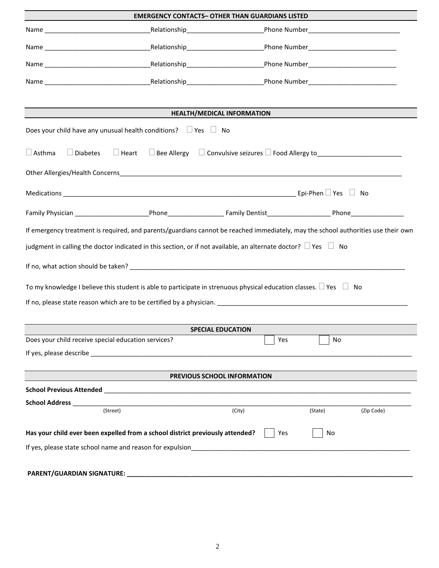|                                                                                                                                   | <b>EMERGENCY CONTACTS- OTHER THAN GUARDIANS LISTED</b> |        |         |            |  |  |  |
|-----------------------------------------------------------------------------------------------------------------------------------|--------------------------------------------------------|--------|---------|------------|--|--|--|
|                                                                                                                                   |                                                        |        |         |            |  |  |  |
|                                                                                                                                   |                                                        |        |         |            |  |  |  |
|                                                                                                                                   |                                                        |        |         |            |  |  |  |
|                                                                                                                                   |                                                        |        |         |            |  |  |  |
|                                                                                                                                   |                                                        |        |         |            |  |  |  |
|                                                                                                                                   | <b>HEALTH/MEDICAL INFORMATION</b>                      |        |         |            |  |  |  |
| Does your child have any unusual health conditions? $\Box$ Yes $\Box$ No                                                          |                                                        |        |         |            |  |  |  |
| $\Box$ Heart $\Box$ Bee Allergy $\Box$ Convulsive seizures $\Box$ Food Allergy to<br>$\Box$ Asthma<br>$\Box$ Diabetes             |                                                        |        |         |            |  |  |  |
|                                                                                                                                   |                                                        |        |         |            |  |  |  |
|                                                                                                                                   |                                                        |        |         |            |  |  |  |
|                                                                                                                                   |                                                        |        |         |            |  |  |  |
| If emergency treatment is required, and parents/guardians cannot be reached immediately, may the school authorities use their own |                                                        |        |         |            |  |  |  |
| judgment in calling the doctor indicated in this section, or if not available, an alternate doctor? $\square$ Yes $\square$ No    |                                                        |        |         |            |  |  |  |
|                                                                                                                                   |                                                        |        |         |            |  |  |  |
| To my knowledge I believe this student is able to participate in strenuous physical education classes. $\Box$ Yes $\Box$ No       |                                                        |        |         |            |  |  |  |
|                                                                                                                                   |                                                        |        |         |            |  |  |  |
|                                                                                                                                   |                                                        |        |         |            |  |  |  |
|                                                                                                                                   | <b>SPECIAL EDUCATION</b>                               |        |         |            |  |  |  |
| Does your child receive special education services?                                                                               |                                                        |        | Yes     | No         |  |  |  |
|                                                                                                                                   |                                                        |        |         |            |  |  |  |
|                                                                                                                                   |                                                        |        |         |            |  |  |  |
| PREVIOUS SCHOOL INFORMATION                                                                                                       |                                                        |        |         |            |  |  |  |
|                                                                                                                                   |                                                        |        |         |            |  |  |  |
| (Street)                                                                                                                          |                                                        | (City) | (State) | (Zip Code) |  |  |  |
| Has your child ever been expelled from a school district previously attended?<br>Yes<br>No                                        |                                                        |        |         |            |  |  |  |
| If yes, please state school name and reason for expulsion examples and contact the control of the control of the                  |                                                        |        |         |            |  |  |  |
|                                                                                                                                   |                                                        |        |         |            |  |  |  |
|                                                                                                                                   |                                                        |        |         |            |  |  |  |